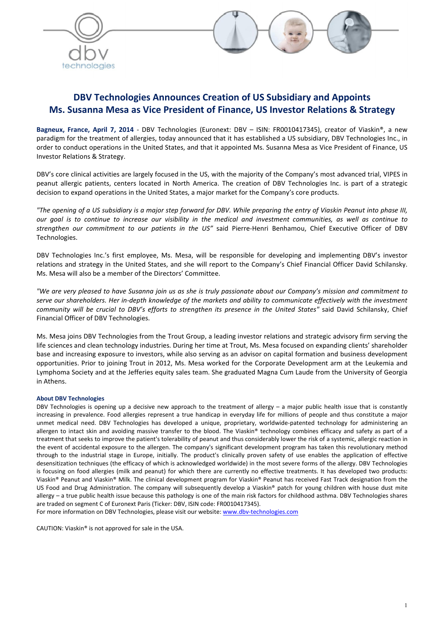



## DBV Technologies Announces Creation of US Subsidiary and Appoints Ms. Susanna Mesa as Vice President of Finance, US Investor Relations & Strategy

Bagneux, France, April 7, 2014 - DBV Technologies (Euronext: DBV - ISIN: FR0010417345), creator of Viaskin®, a new paradigm for the treatment of allergies, today announced that it has established a US subsidiary, DBV Technologies Inc., in order to conduct operations in the United States, and that it appointed Ms. Susanna Mesa as Vice President of Finance, US Investor Relations & Strategy.

DBV's core clinical activities are largely focused in the US, with the majority of the Company's most advanced trial, VIPES in peanut allergic patients, centers located in North America. The creation of DBV Technologies Inc. is part of a strategic decision to expand operations in the United States, a major market for the Company's core products.

*"The opening of a US subsidiary is a major step forward for DBV. While preparing the entry of Viaskin Peanut into phase III, our goal is to continue to increase our visibility in the medical and investment communities, as well as continue to strengthen our commitment to our patients in the US"* said Pierre-Henri Benhamou, Chief Executive Officer of DBV Technologies.

DBV Technologies Inc.'s first employee, Ms. Mesa, will be responsible for developing and implementing DBV's investor relations and strategy in the United States, and she will report to the Company's Chief Financial Officer David Schilansky. Ms. Mesa will also be a member of the Directors' Committee.

*"We are very pleased to have Susanna join us as she is truly passionate about our Company's mission and commitment to serve our shareholders. Her in-depth knowledge of the markets and ability to communicate effectively with the investment community will be crucial to DBV's efforts to strengthen its presence in the United States"* said David Schilansky, Chief Financial Officer of DBV Technologies.

Ms. Mesa joins DBV Technologies from the Trout Group, a leading investor relations and strategic advisory firm serving the life sciences and clean technology industries. During her time at Trout, Ms. Mesa focused on expanding clients' shareholder base and increasing exposure to investors, while also serving as an advisor on capital formation and business development opportunities. Prior to joining Trout in 2012, Ms. Mesa worked for the Corporate Development arm at the Leukemia and Lymphoma Society and at the Jefferies equity sales team. She graduated Magna Cum Laude from the University of Georgia in Athens.

## About DBV Technologies

DBV Technologies is opening up a decisive new approach to the treatment of allergy – a major public health issue that is constantly increasing in prevalence. Food allergies represent a true handicap in everyday life for millions of people and thus constitute a major unmet medical need. DBV Technologies has developed a unique, proprietary, worldwide-patented technology for administering an allergen to intact skin and avoiding massive transfer to the blood. The Viaskin® technology combines efficacy and safety as part of a treatment that seeks to improve the patient's tolerability of peanut and thus considerably lower the risk of a systemic, allergic reaction in the event of accidental exposure to the allergen. The company's significant development program has taken this revolutionary method through to the industrial stage in Europe, initially. The product's clinically proven safety of use enables the application of effective desensitization techniques (the efficacy of which is acknowledged worldwide) in the most severe forms of the allergy. DBV Technologies is focusing on food allergies (milk and peanut) for which there are currently no effective treatments. It has developed two products: Viaskin® Peanut and Viaskin® Milk. The clinical development program for Viaskin® Peanut has received Fast Track designation from the US Food and Drug Administration. The company will subsequently develop a Viaskin® patch for young children with house dust mite allergy – a true public health issue because this pathology is one of the main risk factors for childhood asthma. DBV Technologies shares are traded on segment C of Euronext Paris (Ticker: DBV, ISIN code: FR0010417345).

For more information on DBV Technologies, please visit our website: www.dbv-technologies.com

CAUTION: Viaskin® is not approved for sale in the USA.